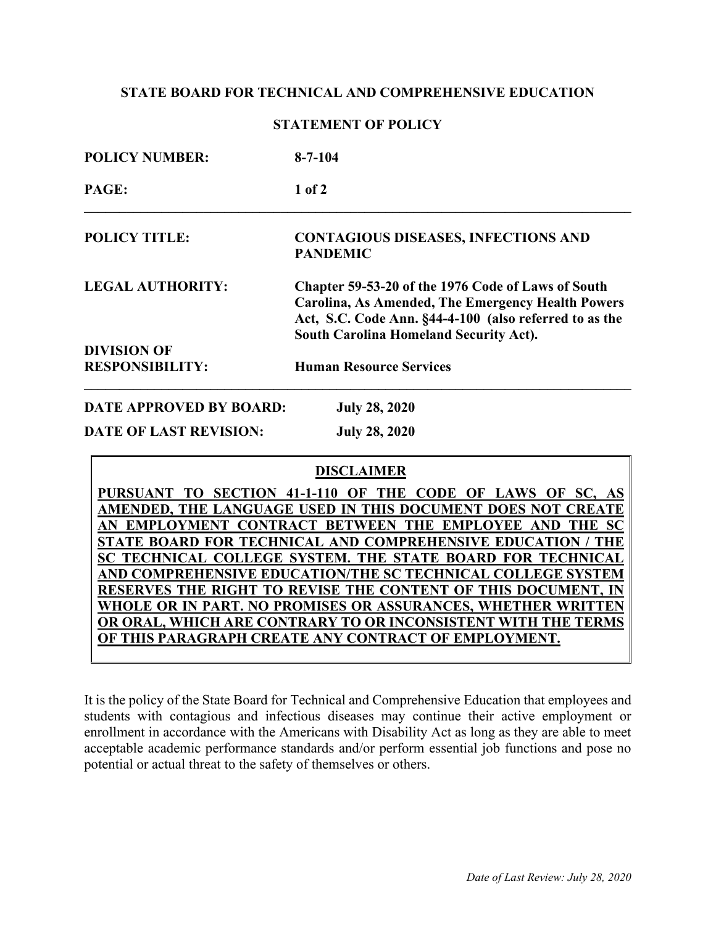## **STATE BOARD FOR TECHNICAL AND COMPREHENSIVE EDUCATION**

| <b>STATEMENT OF POLICY</b> |  |
|----------------------------|--|
|----------------------------|--|

| <b>POLICY NUMBER:</b>          | $8 - 7 - 104$                                                                                                                                                                                                             |
|--------------------------------|---------------------------------------------------------------------------------------------------------------------------------------------------------------------------------------------------------------------------|
| PAGE:                          | $1$ of $2$                                                                                                                                                                                                                |
| <b>POLICY TITLE:</b>           | <b>CONTAGIOUS DISEASES, INFECTIONS AND</b><br><b>PANDEMIC</b>                                                                                                                                                             |
| <b>LEGAL AUTHORITY:</b>        | Chapter 59-53-20 of the 1976 Code of Laws of South<br><b>Carolina, As Amended, The Emergency Health Powers</b><br>Act, S.C. Code Ann. §44-4-100 (also referred to as the<br><b>South Carolina Homeland Security Act).</b> |
| <b>DIVISION OF</b>             |                                                                                                                                                                                                                           |
| <b>RESPONSIBILITY:</b>         | <b>Human Resource Services</b>                                                                                                                                                                                            |
| <b>DATE APPROVED BY BOARD:</b> | <b>July 28, 2020</b>                                                                                                                                                                                                      |
| <b>DATE OF LAST REVISION:</b>  | <b>July 28, 2020</b>                                                                                                                                                                                                      |
|                                | <b>DIGAL LIMB</b>                                                                                                                                                                                                         |

|  |  |  |  | PURSUANT TO SECTION 41-1-110 OF THE CODE OF LAWS OF  |  |  |  |  |                                                               |
|--|--|--|--|------------------------------------------------------|--|--|--|--|---------------------------------------------------------------|
|  |  |  |  |                                                      |  |  |  |  | AMENDED, THE LANGUAGE USED IN THIS DOCUMENT DOES NOT CREATE   |
|  |  |  |  |                                                      |  |  |  |  | EMPLOYMENT CONTRACT BETWEEN THE EMPLOYEE AND THE SC           |
|  |  |  |  |                                                      |  |  |  |  | STATE BOARD FOR TECHNICAL AND COMPREHENSIVE EDUCATION / THE   |
|  |  |  |  |                                                      |  |  |  |  | SC TECHNICAL COLLEGE SYSTEM. THE STATE BOARD FOR TECHNICAL    |
|  |  |  |  |                                                      |  |  |  |  | AND COMPREHENSIVE EDUCATION/THE SC TECHNICAL COLLEGE SYSTEM   |
|  |  |  |  |                                                      |  |  |  |  | RESERVES THE RIGHT TO REVISE THE CONTENT OF THIS DOCUMENT, IN |
|  |  |  |  |                                                      |  |  |  |  | WHOLE OR IN PART. NO PROMISES OR ASSURANCES, WHETHER WRITTEN  |
|  |  |  |  |                                                      |  |  |  |  | OR ORAL, WHICH ARE CONTRARY TO OR INCONSISTENT WITH THE TERMS |
|  |  |  |  | OF THIS PARAGRAPH CREATE ANY CONTRACT OF EMPLOYMENT. |  |  |  |  |                                                               |

It is the policy of the State Board for Technical and Comprehensive Education that employees and students with contagious and infectious diseases may continue their active employment or enrollment in accordance with the Americans with Disability Act as long as they are able to meet acceptable academic performance standards and/or perform essential job functions and pose no potential or actual threat to the safety of themselves or others.